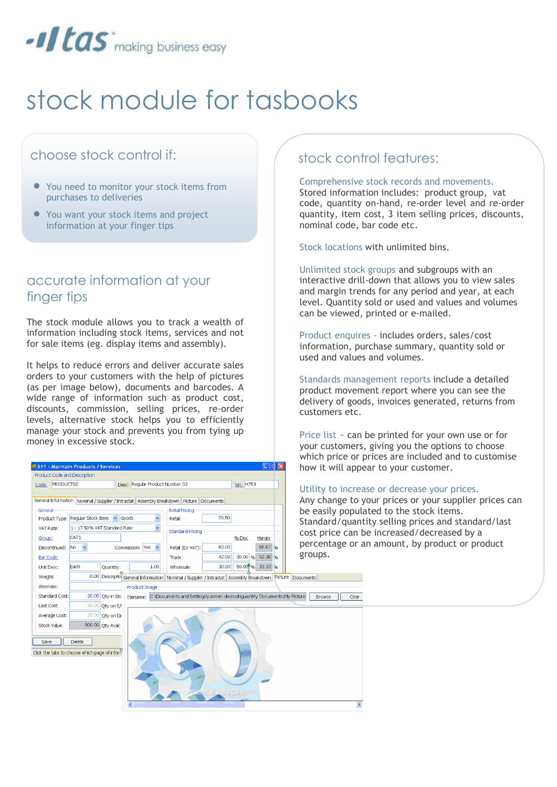

# stock module for tasbooks

## choose stock control if:

- You need to monitor your stock items from purchases to deliveries
- You want your stock items and project information at your finger tips

### accurate information at your finger tips

The stock module allows you to track a wealth of information including stock items, services and not for sale items (eg. display items and assembly).

It helps to reduce errors and deliver accurate sales orders to your customers with the help of pictures (as per image below), documents and barcodes. A wide range of information such as product cost, discounts, commission, selling prices, re-order levels, alternative stock helps you to efficiently manage your stock and prevents you from tying up money in excessive stock.

#### **1511 - Maintain Products / Services Product Code and Description** Code: PRODUCT02 Desc: Regular Product Number 02 **Bin: H753** General Information Nominal / Supplier / Intrastat | Assembly Breakdown | Picture | Documents **Retail Pricing** General Product Type: Regular Stock Item v Goods Retail: 70.50 1 - 17.50% VAT Standard Rate VAT Rate:  $\checkmark$ -Standard Pricing  $CAT1$ Group: % Disc Margin Discontinued: No 60.00 66.67 Commission: Yes Retail (Ex VAT): groups. $42.00$ 30.00 96 52.38 % Trade: Bar Code:  $50.009\%$  33.33 %  $1.00$ Wholesale:  $30.00$ Unit Desc: Quantity: 0.00 Descriptio General Information Nominal / Supplier / Intrastat | Assembly Breakdown Picture Documents Weight: Alternate: **Product Image** Standard Cost: 20.00 Qty in Stc Filename: C:\Documents and Settings\carmen.diezrodriguez\My Documents\My Picture Browse | Clear  $\overline{20.00}$  Qty on S/ Last Cost: Average Cost: 20.00 Qty on Dit 900.00 Qty Avail: Stock Value: Save Delete Click the tabs to choose which page of inform

#### stock control features:

#### Comprehensive stock records and movements.

Stored information includes: product group, vat code, quantity on-hand, re-order level and re-order quantity, item cost, 3 item selling prices, discounts, nominal code, bar code etc.

Stock locations with unlimited bins.

Unlimited stock groups and subgroups with an interactive drill-down that allows you to view sales and margin trends for any period and year, at each level. Quantity sold or used and values and volumes can be viewed, printed or e-mailed.

Product enquires - includes orders, sales/cost information, purchase summary, quantity sold or used and values and volumes.

Standards management reports include a detailed product movement report where you can see the delivery of goods, invoices generated, returns from customers etc.

Price list - can be printed for your own use or for your customers, giving you the options to choose which price or prices are included and to customise how it will appear to your customer.

#### Utility to increase or decrease your prices.

Any change to your prices or your supplier prices can be easily populated to the stock items. Standard/quantity selling prices and standard/last cost price can be increased/decreased by a percentage or an amount, by product or product